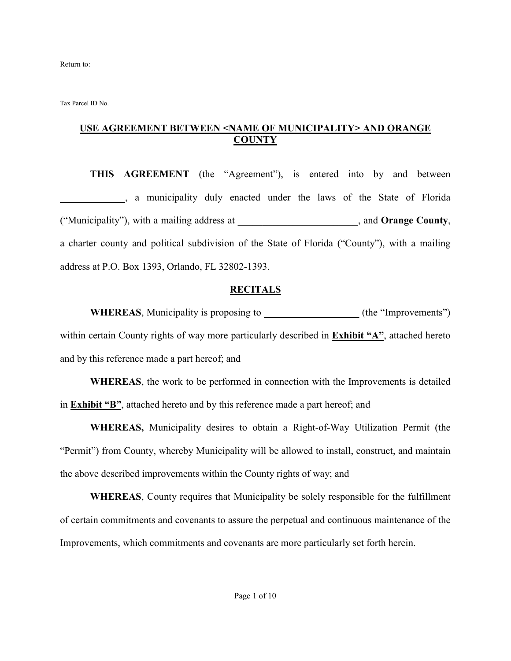Return to:

Tax Parcel ID No.

### **USE AGREEMENT BETWEEN <NAME OF MUNICIPALITY> AND ORANGE COUNTY**

**THIS AGREEMENT** (the "Agreement"), is entered into by and between **\_\_\_\_\_\_\_\_\_\_\_\_\_**, a municipality duly enacted under the laws of the State of Florida ("Municipality"), with a mailing address at \_\_\_\_\_\_\_\_\_\_\_\_\_\_\_\_\_\_\_\_\_\_\_\_, and **Orange County**, a charter county and political subdivision of the State of Florida ("County"), with a mailing address at P.O. Box 1393, Orlando, FL 32802-1393.

#### **RECITALS**

**WHEREAS**, Municipality is proposing to  $($ the "Improvements") within certain County rights of way more particularly described in **Exhibit "A"**, attached hereto and by this reference made a part hereof; and

**WHEREAS**, the work to be performed in connection with the Improvements is detailed in **Exhibit "B"**, attached hereto and by this reference made a part hereof; and

**WHEREAS,** Municipality desires to obtain a Right-of-Way Utilization Permit (the "Permit") from County, whereby Municipality will be allowed to install, construct, and maintain the above described improvements within the County rights of way; and

**WHEREAS**, County requires that Municipality be solely responsible for the fulfillment of certain commitments and covenants to assure the perpetual and continuous maintenance of the Improvements, which commitments and covenants are more particularly set forth herein.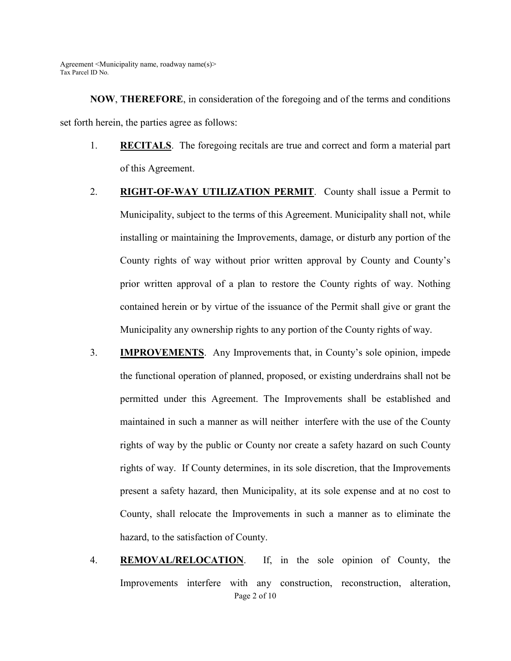**NOW**, **THEREFORE**, in consideration of the foregoing and of the terms and conditions set forth herein, the parties agree as follows:

- 1. **RECITALS**. The foregoing recitals are true and correct and form a material part of this Agreement.
- 2. **RIGHT-OF-WAY UTILIZATION PERMIT**. County shall issue a Permit to Municipality, subject to the terms of this Agreement. Municipality shall not, while installing or maintaining the Improvements, damage, or disturb any portion of the County rights of way without prior written approval by County and County's prior written approval of a plan to restore the County rights of way. Nothing contained herein or by virtue of the issuance of the Permit shall give or grant the Municipality any ownership rights to any portion of the County rights of way.
- 3. **IMPROVEMENTS**. Any Improvements that, in County's sole opinion, impede the functional operation of planned, proposed, or existing underdrains shall not be permitted under this Agreement. The Improvements shall be established and maintained in such a manner as will neither interfere with the use of the County rights of way by the public or County nor create a safety hazard on such County rights of way. If County determines, in its sole discretion, that the Improvements present a safety hazard, then Municipality, at its sole expense and at no cost to County, shall relocate the Improvements in such a manner as to eliminate the hazard, to the satisfaction of County.
- Page 2 of 10 4. **REMOVAL/RELOCATION**. If, in the sole opinion of County, the Improvements interfere with any construction, reconstruction, alteration,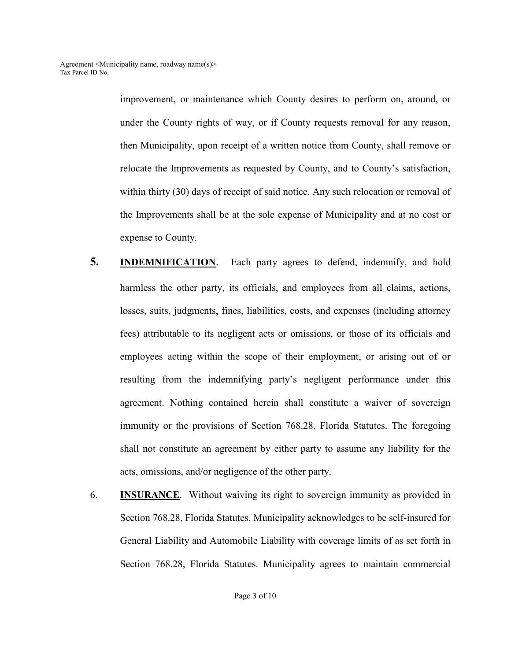> improvement, or maintenance which County desires to perform on, around, or under the County rights of way, or if County requests removal for any reason, then Municipality, upon receipt of a written notice from County, shall remove or relocate the Improvements as requested by County, and to County's satisfaction, within thirty (30) days of receipt of said notice. Any such relocation or removal of the Improvements shall be at the sole expense of Municipality and at no cost or expense to County.

- **5. INDEMNIFICATION**.Each party agrees to defend, indemnify, and hold harmless the other party, its officials, and employees from all claims, actions, losses, suits, judgments, fines, liabilities, costs, and expenses (including attorney fees) attributable to its negligent acts or omissions, or those of its officials and employees acting within the scope of their employment, or arising out of or resulting from the indemnifying party's negligent performance under this agreement. Nothing contained herein shall constitute a waiver of sovereign immunity or the provisions of Section 768.28, Florida Statutes. The foregoing shall not constitute an agreement by either party to assume any liability for the acts, omissions, and/or negligence of the other party.
- 6. **INSURANCE**. Without waiving its right to sovereign immunity as provided in Section 768.28, Florida Statutes, Municipality acknowledges to be self-insured for General Liability and Automobile Liability with coverage limits of as set forth in Section 768.28, Florida Statutes. Municipality agrees to maintain commercial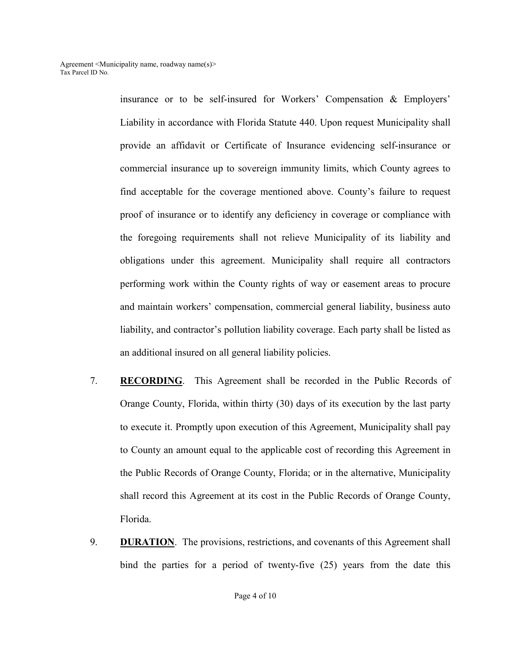insurance or to be self-insured for Workers' Compensation & Employers' Liability in accordance with Florida Statute 440. Upon request Municipality shall provide an affidavit or Certificate of Insurance evidencing self-insurance or commercial insurance up to sovereign immunity limits, which County agrees to find acceptable for the coverage mentioned above. County's failure to request proof of insurance or to identify any deficiency in coverage or compliance with the foregoing requirements shall not relieve Municipality of its liability and obligations under this agreement. Municipality shall require all contractors performing work within the County rights of way or easement areas to procure and maintain workers' compensation, commercial general liability, business auto liability, and contractor's pollution liability coverage. Each party shall be listed as an additional insured on all general liability policies.

- 7. **RECORDING**. This Agreement shall be recorded in the Public Records of Orange County, Florida, within thirty (30) days of its execution by the last party to execute it. Promptly upon execution of this Agreement, Municipality shall pay to County an amount equal to the applicable cost of recording this Agreement in the Public Records of Orange County, Florida; or in the alternative, Municipality shall record this Agreement at its cost in the Public Records of Orange County, Florida.
- 9. **DURATION**. The provisions, restrictions, and covenants of this Agreement shall bind the parties for a period of twenty-five (25) years from the date this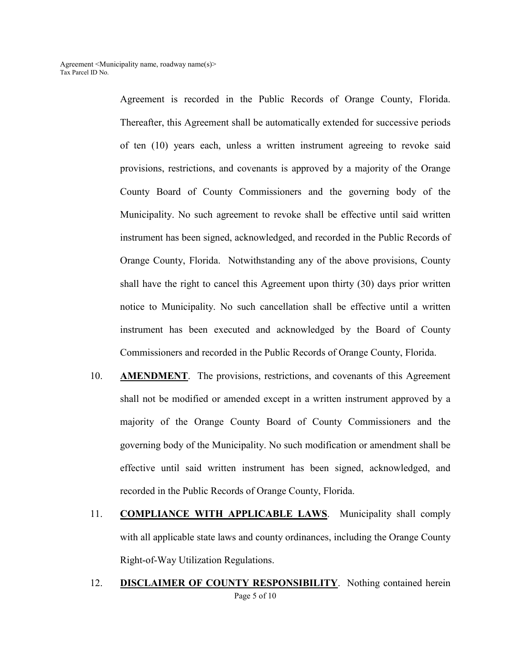Agreement is recorded in the Public Records of Orange County, Florida. Thereafter, this Agreement shall be automatically extended for successive periods of ten (10) years each, unless a written instrument agreeing to revoke said provisions, restrictions, and covenants is approved by a majority of the Orange County Board of County Commissioners and the governing body of the Municipality. No such agreement to revoke shall be effective until said written instrument has been signed, acknowledged, and recorded in the Public Records of Orange County, Florida. Notwithstanding any of the above provisions, County shall have the right to cancel this Agreement upon thirty (30) days prior written notice to Municipality. No such cancellation shall be effective until a written instrument has been executed and acknowledged by the Board of County Commissioners and recorded in the Public Records of Orange County, Florida.

- 10. **AMENDMENT**. The provisions, restrictions, and covenants of this Agreement shall not be modified or amended except in a written instrument approved by a majority of the Orange County Board of County Commissioners and the governing body of the Municipality. No such modification or amendment shall be effective until said written instrument has been signed, acknowledged, and recorded in the Public Records of Orange County, Florida.
- 11. **COMPLIANCE WITH APPLICABLE LAWS**. Municipality shall comply with all applicable state laws and county ordinances, including the Orange County Right-of-Way Utilization Regulations.
- Page 5 of 10 12. **DISCLAIMER OF COUNTY RESPONSIBILITY**. Nothing contained herein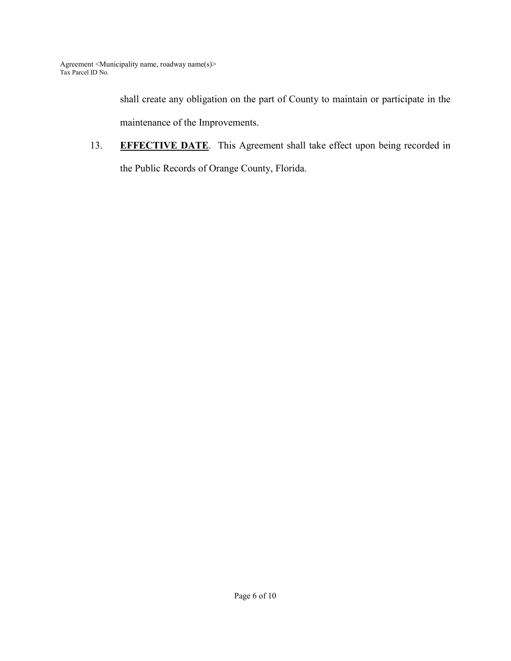shall create any obligation on the part of County to maintain or participate in the maintenance of the Improvements.

13. **EFFECTIVE DATE**. This Agreement shall take effect upon being recorded in the Public Records of Orange County, Florida.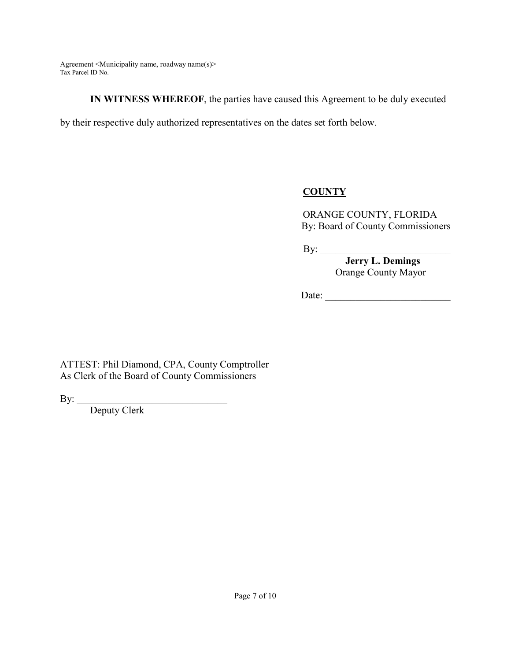**IN WITNESS WHEREOF**, the parties have caused this Agreement to be duly executed

by their respective duly authorized representatives on the dates set forth below.

### **COUNTY**

ORANGE COUNTY, FLORIDA By: Board of County Commissioners

By: \_\_\_\_\_\_\_\_\_\_\_\_\_\_\_\_\_\_\_\_\_\_\_\_\_\_

 **Jerry L. Demings**  Orange County Mayor

Date:

ATTEST: Phil Diamond, CPA, County Comptroller As Clerk of the Board of County Commissioners

By: \_\_\_\_\_\_\_\_\_\_\_\_\_\_\_\_\_\_\_\_\_\_\_\_\_\_\_\_\_\_

Deputy Clerk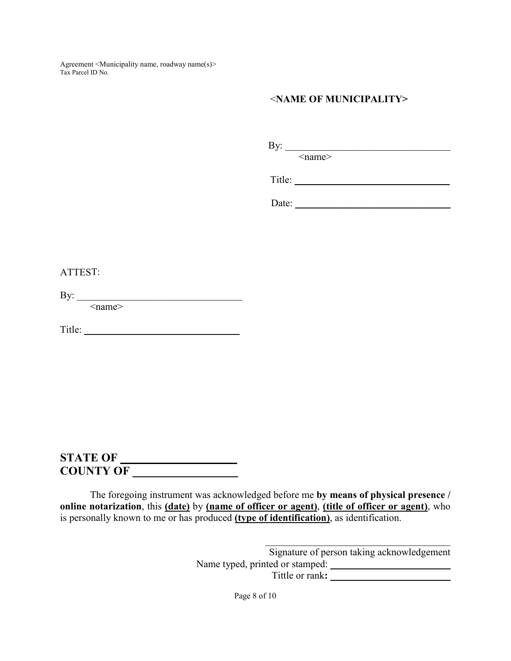### <**NAME OF MUNICIPALITY>**

| Bv:<br> |
|---------|
|---------|

<name>

Title: \_\_\_\_\_\_\_\_\_\_\_\_\_\_\_\_\_\_\_\_\_\_\_\_\_\_\_\_\_\_\_

Date:

#### ATTEST:

By:  $\qquad$ 

 $\leq$ name $\geq$ 

Title: \_\_\_\_\_\_\_\_\_\_\_\_\_\_\_\_\_\_\_\_\_\_\_\_\_\_\_\_\_\_\_

# **STATE OF \_\_\_\_\_\_\_\_\_\_\_\_\_\_\_\_\_\_\_\_ COUNTY OF \_\_\_\_\_\_\_\_\_\_\_\_\_\_\_\_\_\_**

The foregoing instrument was acknowledged before me **by means of physical presence / online notarization**, this **(date)** by **(name of officer or agent)**, **(title of officer or agent)**, who is personally known to me or has produced **(type of identification)**, as identification.

> Signature of person taking acknowledgement Name typed, printed or stamped: Tittle or rank**: \_\_\_\_\_\_\_\_\_\_\_\_\_\_\_\_\_\_\_\_\_\_\_\_**

 $\mathcal{L}_\text{max}$  and  $\mathcal{L}_\text{max}$  and  $\mathcal{L}_\text{max}$  and  $\mathcal{L}_\text{max}$ 

Page 8 of 10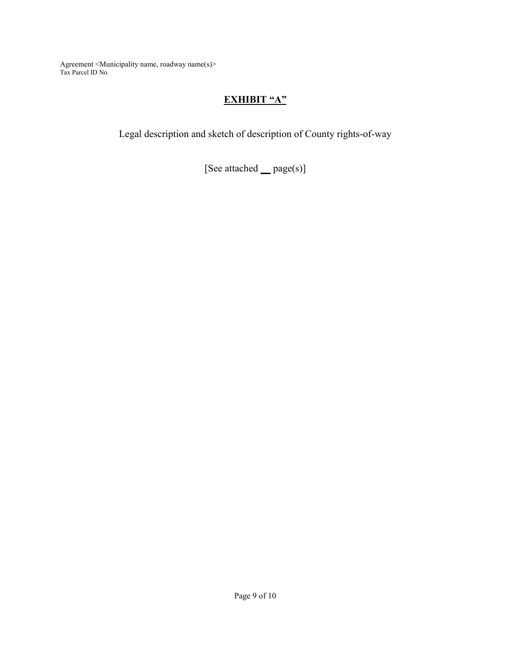## **EXHIBIT "A"**

Legal description and sketch of description of County rights-of-way

[See attached **\_\_** page(s)]